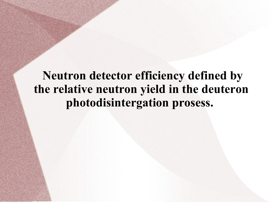# **Neutron detector efficiency defined by the relative neutron yield in the deuteron photodisintergation prosess.**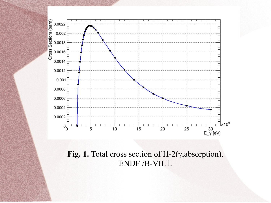

**Fig. 1.** Total cross section of H-2(γ,absorption). ENDF /B-VII.1.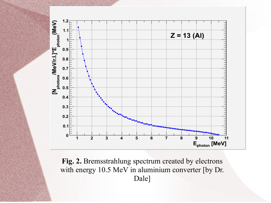

**Fig. 2.** Bremsstrahlung spectrum created by electrons with energy 10.5 MeV in aluminium converter [by Dr. Dale]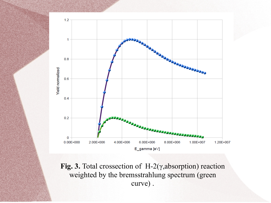

**Fig. 3.** Total crossection of H-2(γ,absorption) reaction weighted by the bremsstrahlung spectrum (green curve) .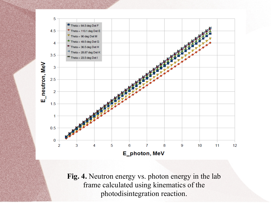

**Fig. 4.** Neutron energy vs. photon energy in the lab frame calculated using kinematics of the photodisintegration reaction.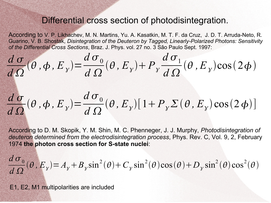## Differential cross section of photodisintegration.

According to V. P. Likhachev, M. N. Martins, Yu. A. Kasatkin, M. T. F. da Cruz, J. D. T. Arruda-Neto, R. Guarino, V. B. Shostak, *Disintegration of the Deuteron by Tagged, Linearly-Polarized Photons: Sensitivity of the Differential Cross Sections*, Braz. J. Phys. vol. 27 no. 3 São Paulo Sept. 1997:

$$
\frac{d\,\sigma}{d\,\Omega}(\theta\,,\phi\,,E_y) = \frac{d\,\sigma_0}{d\,\Omega}(\theta\,,E_y) + P_y \frac{d\,\sigma_1}{d\,\Omega}(\theta\,,E_y)\cos(2\,\phi)
$$

$$
\frac{d\,\sigma}{d\,\Omega}(\theta\,,\phi\,,E_y) = \frac{d\,\sigma_0}{d\,\Omega}(\theta\,,E_y)[1+P_y\,\Sigma(\theta\,,E_y)\cos(2\,\phi)]
$$

According to D. M. Skopik, Y. M. Shin, M. C. Phenneger, J. J. Murphy, *Photodisintegration of deuteron determined from the electrodisintegration process*, Phys. Rev. C, Vol. 9, 2, February 1974 **the photon cross section for S-state nuclei**:

$$
\frac{d\sigma_0}{d\Omega}(\theta, E_y) = A_y + B_y \sin^2(\theta) + C_y \sin^2(\theta) \cos(\theta) + D_y \sin^2(\theta) \cos^2(\theta)
$$

E1, E2, M1 multipolarities are included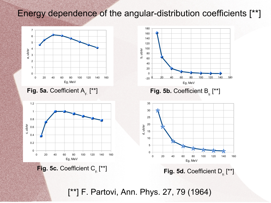# Energy dependence of the angular-distribution coefficients [\*\*]



**Fig. 5a.** Coefficient A γ.



**Fig. 5c. Coefficient C<sub>γ.</sub>** 



[\*\*] **Fig. 5d.** Coefficient D γ. [\*\*]

[\*\*] F. Partovi, Ann. Phys. 27, 79 (1964)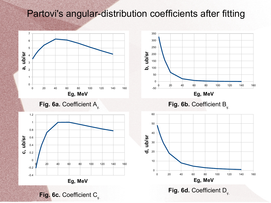# Partovi's angular-distribution coefficients after fitting

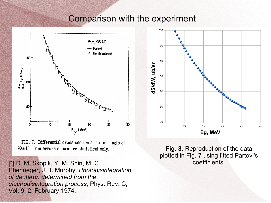### Comparison with the experiment



FIG. 7. Differential cross section at a c.m. angle of  $90 \pm 1$ °. The errors shown are statistical only.

[\*] D. M. Skopik, Y. M. Shin, M. C. Phenneger, J. J. Murphy, *Photodisintegration of deuteron determined from the electrodisintegration process*, Phys. Rev. C, Vol. 9, 2, February 1974.



**Fig. 8.** Reproduction of the data plotted in Fig. 7 using fitted Partovi's coefficients.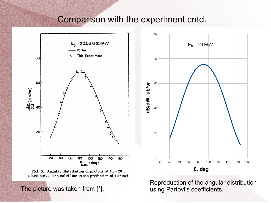### Comparison with the experiment cntd.





The picture was taken from [\*]. The picture was taken from [\*].



Reproduction of the angular distribution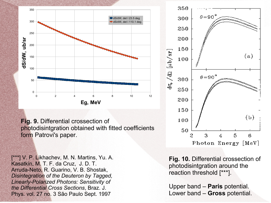

**Fig. 9.** Differential crossection of photodisintgration obtained with fitted coefficients form Patrovi's paper.

[\*\*\*] V. P. Likhachev, M. N. Martins, Yu. A. Kasatkin, M. T. F. da Cruz, J. D. T. Arruda-Neto, R. Guarino, V. B. Shostak, *Disintegration of the Deuteron by Tagged, Linearly-Polarized Photons: Sensitivity of the Differential Cross Sections*, Braz. J. Phys. vol. 27 no. 3 São Paulo Sept. 1997

**Fig. 10.** Differential crossection of photodisintgration around the reaction threshold [\*\*\*].

Upper band – **Paris** potential. Lower band – **Gross** potential.

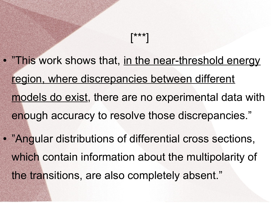# • "This work shows that, in the near-threshold energy region, where discrepancies between different models do exist, there are no experimental data with enough accuracy to resolve those discrepancies."

[\*\*\*]

• "Angular distributions of differential cross sections, which contain information about the multipolarity of the transitions, are also completely absent."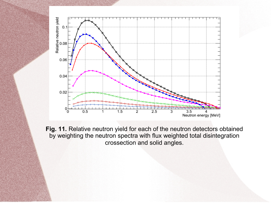

**Fig. 11.** Relative neutron yield for each of the neutron detectors obtained by weighting the neutron spectra with flux weighted total disintegration crossection and solid angles.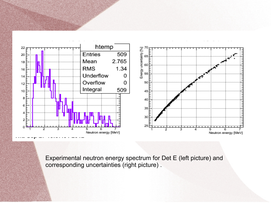

Experimental neutron energy spectrum for Det E (left picture) and corresponding uncertainties (right picture) .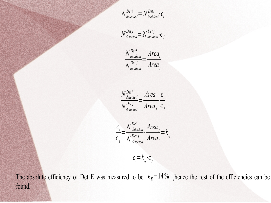$N^{Deti}_{detected} = N^{Deti}_{incident} \cdot \epsilon_{i}$ 

$$
N_{\text{detected}}^{\text{Det }j} = N_{\text{incident}}^{\text{Det }j} \cdot \epsilon_j
$$

$$
\frac{N_{\text{incident}}^{\text{Det}i}}{N_{\text{incident}}^{\text{Det}j}} = \frac{\text{Area}_i}{\text{Area}_j}
$$

$$
\frac{N_{\text{detected}}^{\text{Det}}}{N_{\text{detected}}^{\text{Det }j}} = \frac{\text{Area}_i}{\text{Area}_j} \cdot \frac{\epsilon_i}{\epsilon_j}
$$

$$
\frac{\epsilon_i}{\epsilon_j} = \frac{N^{\text{Det } i}}{N^{\text{Det } j}} \cdot \frac{\text{Area}_j}{\text{Area}_i} = k_{ij}
$$

 $\epsilon_i = k_{ij} \cdot \epsilon_j$ 

The absolute efficiency of Det E was measured to be  $\epsilon_E = 14\%$ , hence the rest of the efficiencies can be found.